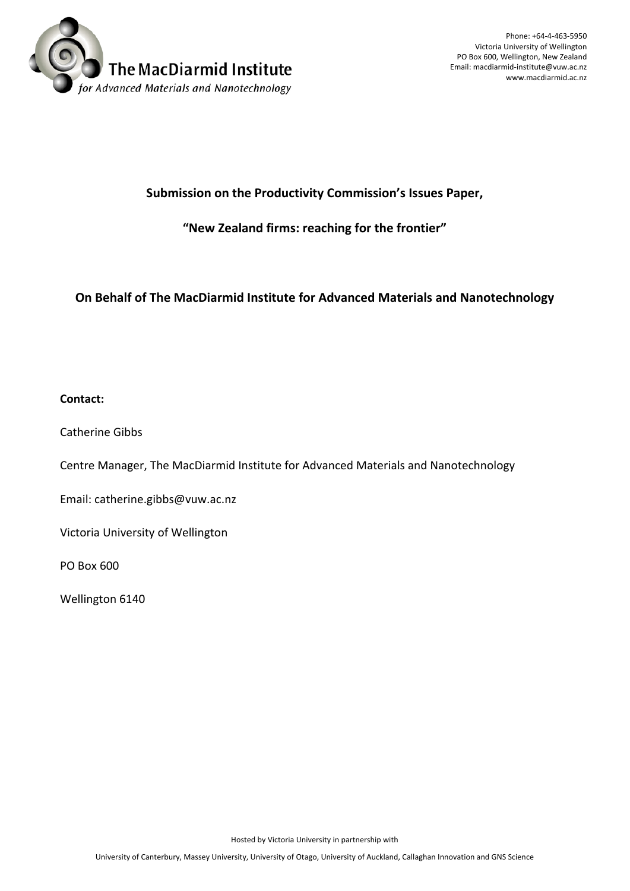

Phone: +64-4-463-5950 Victoria University of Wellington PO Box 600, Wellington, New Zealand Email: macdiarmid-institute@vuw.ac.nz www.macdiarmid.ac.nz

#### **Submission on the Productivity Commission's Issues Paper,**

#### **"New Zealand firms: reaching for the frontier"**

#### **On Behalf of The MacDiarmid Institute for Advanced Materials and Nanotechnology**

#### **Contact:**

Catherine Gibbs

Centre Manager, The MacDiarmid Institute for Advanced Materials and Nanotechnology

Email: catherine.gibbs@vuw.ac.nz

Victoria University of Wellington

PO Box 600

Wellington 6140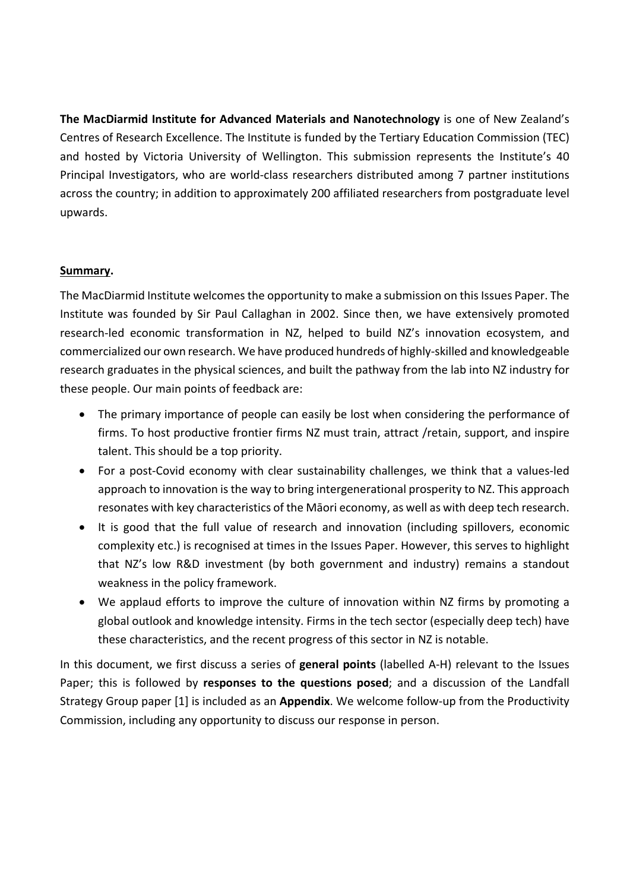**The MacDiarmid Institute for Advanced Materials and Nanotechnology** is one of New Zealand's Centres of Research Excellence. The Institute is funded by the Tertiary Education Commission (TEC) and hosted by Victoria University of Wellington. This submission represents the Institute's 40 Principal Investigators, who are world-class researchers distributed among 7 partner institutions across the country; in addition to approximately 200 affiliated researchers from postgraduate level upwards.

#### **Summary.**

The MacDiarmid Institute welcomes the opportunity to make a submission on this Issues Paper. The Institute was founded by Sir Paul Callaghan in 2002. Since then, we have extensively promoted research-led economic transformation in NZ, helped to build NZ's innovation ecosystem, and commercialized our own research. We have produced hundreds of highly-skilled and knowledgeable research graduates in the physical sciences, and built the pathway from the lab into NZ industry for these people. Our main points of feedback are:

- The primary importance of people can easily be lost when considering the performance of firms. To host productive frontier firms NZ must train, attract /retain, support, and inspire talent. This should be a top priority.
- For a post-Covid economy with clear sustainability challenges, we think that a values-led approach to innovation is the way to bring intergenerational prosperity to NZ. This approach resonates with key characteristics of the Māori economy, as well as with deep tech research.
- It is good that the full value of research and innovation (including spillovers, economic complexity etc.) is recognised at times in the Issues Paper. However, this serves to highlight that NZ's low R&D investment (by both government and industry) remains a standout weakness in the policy framework.
- We applaud efforts to improve the culture of innovation within NZ firms by promoting a global outlook and knowledge intensity. Firms in the tech sector (especially deep tech) have these characteristics, and the recent progress of this sector in NZ is notable.

In this document, we first discuss a series of **general points** (labelled A-H) relevant to the Issues Paper; this is followed by **responses to the questions posed**; and a discussion of the Landfall Strategy Group paper [1] is included as an **Appendix**. We welcome follow-up from the Productivity Commission, including any opportunity to discuss our response in person.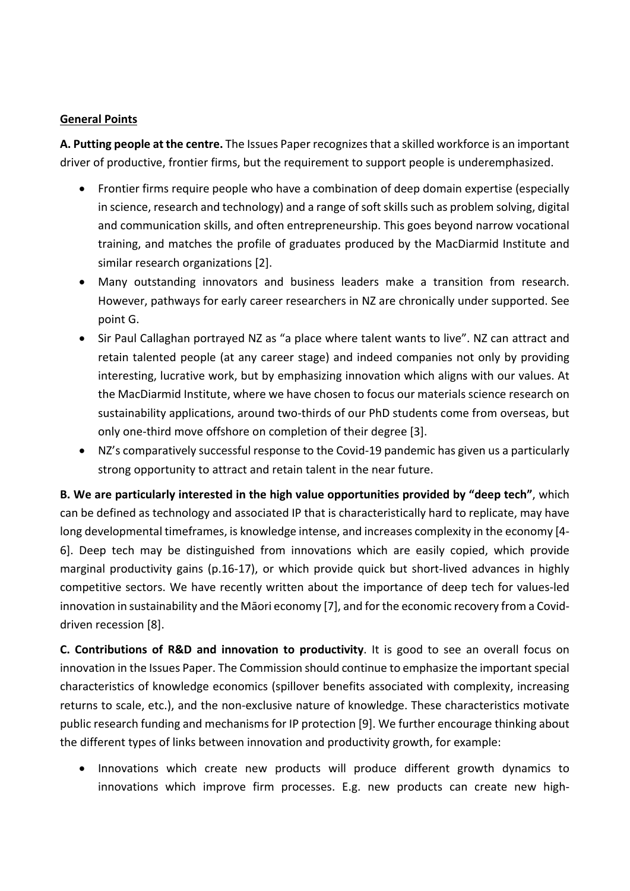#### **General Points**

**A. Putting people at the centre.** The Issues Paper recognizes that a skilled workforce is an important driver of productive, frontier firms, but the requirement to support people is underemphasized.

- Frontier firms require people who have a combination of deep domain expertise (especially in science, research and technology) and a range of soft skills such as problem solving, digital and communication skills, and often entrepreneurship. This goes beyond narrow vocational training, and matches the profile of graduates produced by the MacDiarmid Institute and similar research organizations [2].
- Many outstanding innovators and business leaders make a transition from research. However, pathways for early career researchers in NZ are chronically under supported. See point G.
- Sir Paul Callaghan portrayed NZ as "a place where talent wants to live". NZ can attract and retain talented people (at any career stage) and indeed companies not only by providing interesting, lucrative work, but by emphasizing innovation which aligns with our values. At the MacDiarmid Institute, where we have chosen to focus our materials science research on sustainability applications, around two-thirds of our PhD students come from overseas, but only one-third move offshore on completion of their degree [3].
- NZ's comparatively successful response to the Covid-19 pandemic has given us a particularly strong opportunity to attract and retain talent in the near future.

**B. We are particularly interested in the high value opportunities provided by "deep tech"**, which can be defined as technology and associated IP that is characteristically hard to replicate, may have long developmental timeframes, is knowledge intense, and increases complexity in the economy [4- 6]. Deep tech may be distinguished from innovations which are easily copied, which provide marginal productivity gains (p.16-17), or which provide quick but short-lived advances in highly competitive sectors. We have recently written about the importance of deep tech for values-led innovation in sustainability and the Māori economy [7], and for the economic recovery from a Coviddriven recession [8].

**C. Contributions of R&D and innovation to productivity**. It is good to see an overall focus on innovation in the Issues Paper. The Commission should continue to emphasize the important special characteristics of knowledge economics (spillover benefits associated with complexity, increasing returns to scale, etc.), and the non-exclusive nature of knowledge. These characteristics motivate public research funding and mechanisms for IP protection [9]. We further encourage thinking about the different types of links between innovation and productivity growth, for example:

• Innovations which create new products will produce different growth dynamics to innovations which improve firm processes. E.g. new products can create new high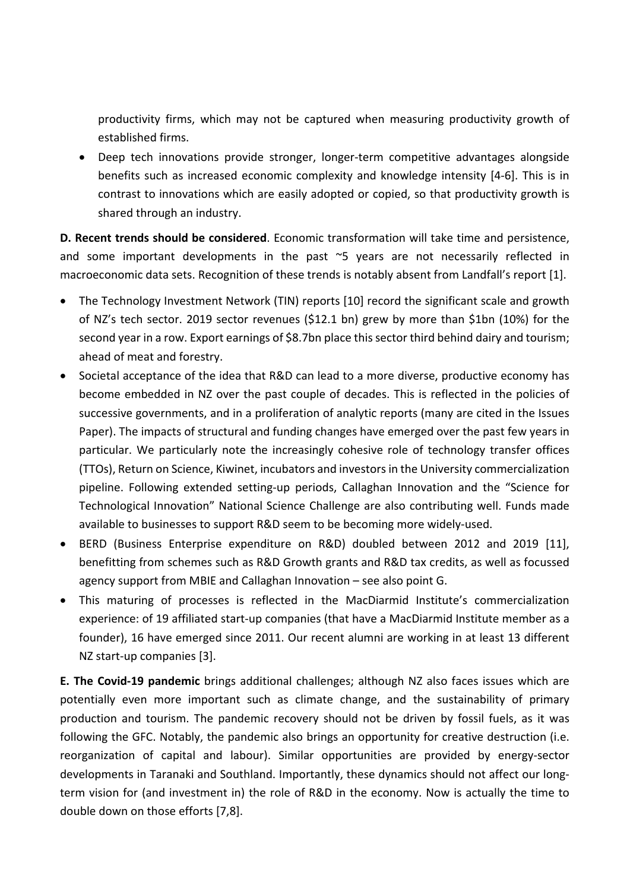productivity firms, which may not be captured when measuring productivity growth of established firms.

• Deep tech innovations provide stronger, longer-term competitive advantages alongside benefits such as increased economic complexity and knowledge intensity [4-6]. This is in contrast to innovations which are easily adopted or copied, so that productivity growth is shared through an industry.

**D. Recent trends should be considered**. Economic transformation will take time and persistence, and some important developments in the past ~5 years are not necessarily reflected in macroeconomic data sets. Recognition of these trends is notably absent from Landfall's report [1].

- The Technology Investment Network (TIN) reports [10] record the significant scale and growth of NZ's tech sector. 2019 sector revenues (\$12.1 bn) grew by more than \$1bn (10%) for the second year in a row. Export earnings of \$8.7bn place this sector third behind dairy and tourism; ahead of meat and forestry.
- Societal acceptance of the idea that R&D can lead to a more diverse, productive economy has become embedded in NZ over the past couple of decades. This is reflected in the policies of successive governments, and in a proliferation of analytic reports (many are cited in the Issues Paper). The impacts of structural and funding changes have emerged over the past few years in particular. We particularly note the increasingly cohesive role of technology transfer offices (TTOs), Return on Science, Kiwinet, incubators and investorsin the University commercialization pipeline. Following extended setting-up periods, Callaghan Innovation and the "Science for Technological Innovation" National Science Challenge are also contributing well. Funds made available to businesses to support R&D seem to be becoming more widely-used.
- BERD (Business Enterprise expenditure on R&D) doubled between 2012 and 2019 [11], benefitting from schemes such as R&D Growth grants and R&D tax credits, as well as focussed agency support from MBIE and Callaghan Innovation – see also point G.
- This maturing of processes is reflected in the MacDiarmid Institute's commercialization experience: of 19 affiliated start-up companies (that have a MacDiarmid Institute member as a founder), 16 have emerged since 2011. Our recent alumni are working in at least 13 different NZ start-up companies [3].

**E. The Covid-19 pandemic** brings additional challenges; although NZ also faces issues which are potentially even more important such as climate change, and the sustainability of primary production and tourism. The pandemic recovery should not be driven by fossil fuels, as it was following the GFC. Notably, the pandemic also brings an opportunity for creative destruction (i.e. reorganization of capital and labour). Similar opportunities are provided by energy-sector developments in Taranaki and Southland. Importantly, these dynamics should not affect our longterm vision for (and investment in) the role of R&D in the economy. Now is actually the time to double down on those efforts [7,8].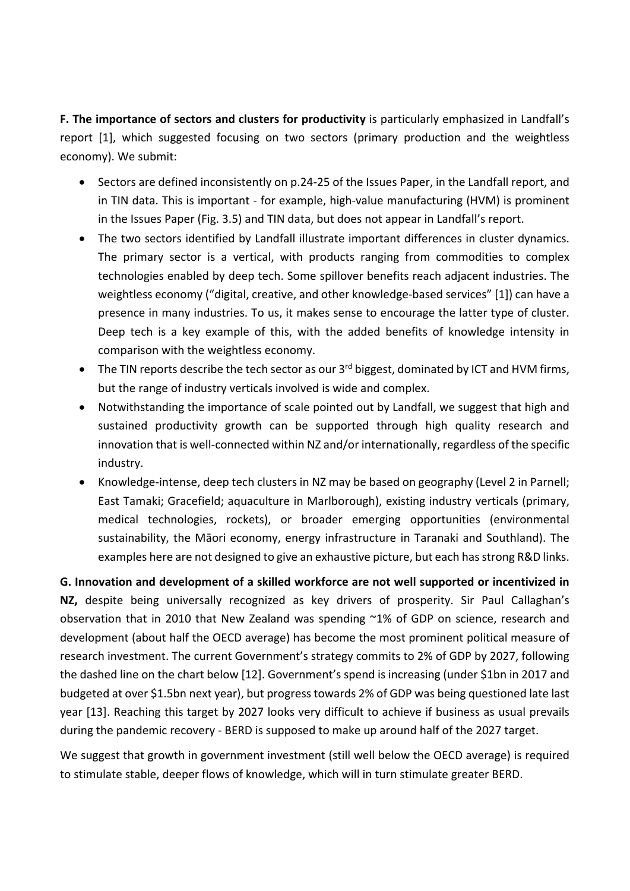**F. The importance of sectors and clusters for productivity** is particularly emphasized in Landfall's report [1], which suggested focusing on two sectors (primary production and the weightless economy). We submit:

- Sectors are defined inconsistently on p.24-25 of the Issues Paper, in the Landfall report, and in TIN data. This is important - for example, high-value manufacturing (HVM) is prominent in the Issues Paper (Fig. 3.5) and TIN data, but does not appear in Landfall's report.
- The two sectors identified by Landfall illustrate important differences in cluster dynamics. The primary sector is a vertical, with products ranging from commodities to complex technologies enabled by deep tech. Some spillover benefits reach adjacent industries. The weightless economy ("digital, creative, and other knowledge-based services" [1]) can have a presence in many industries. To us, it makes sense to encourage the latter type of cluster. Deep tech is a key example of this, with the added benefits of knowledge intensity in comparison with the weightless economy.
- The TIN reports describe the tech sector as our  $3<sup>rd</sup>$  biggest, dominated by ICT and HVM firms, but the range of industry verticals involved is wide and complex.
- Notwithstanding the importance of scale pointed out by Landfall, we suggest that high and sustained productivity growth can be supported through high quality research and innovation that is well-connected within NZ and/or internationally, regardless of the specific industry.
- Knowledge-intense, deep tech clusters in NZ may be based on geography (Level 2 in Parnell; East Tamaki; Gracefield; aquaculture in Marlborough), existing industry verticals (primary, medical technologies, rockets), or broader emerging opportunities (environmental sustainability, the Māori economy, energy infrastructure in Taranaki and Southland). The examples here are not designed to give an exhaustive picture, but each has strong R&D links.

**G. Innovation and development of a skilled workforce are not well supported or incentivized in NZ,** despite being universally recognized as key drivers of prosperity. Sir Paul Callaghan's observation that in 2010 that New Zealand was spending ~1% of GDP on science, research and development (about half the OECD average) has become the most prominent political measure of research investment. The current Government's strategy commits to 2% of GDP by 2027, following the dashed line on the chart below [12]. Government's spend is increasing (under \$1bn in 2017 and budgeted at over \$1.5bn next year), but progress towards 2% of GDP was being questioned late last year [13]. Reaching this target by 2027 looks very difficult to achieve if business as usual prevails during the pandemic recovery - BERD is supposed to make up around half of the 2027 target.

We suggest that growth in government investment (still well below the OECD average) is required to stimulate stable, deeper flows of knowledge, which will in turn stimulate greater BERD.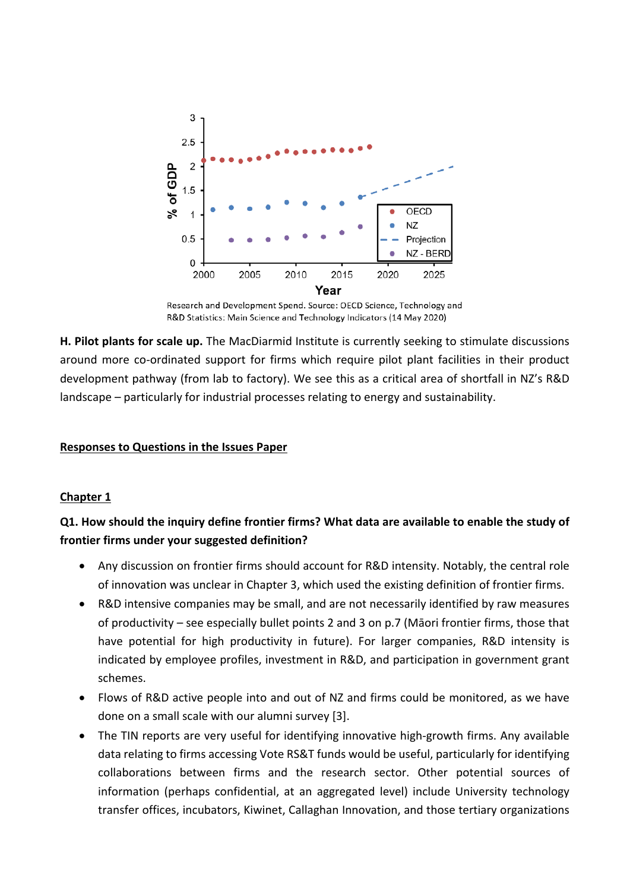

Research and Development Spend. Source: OECD Science, Technology and R&D Statistics: Main Science and Technology Indicators (14 May 2020)

**H. Pilot plants for scale up.** The MacDiarmid Institute is currently seeking to stimulate discussions around more co-ordinated support for firms which require pilot plant facilities in their product development pathway (from lab to factory). We see this as a critical area of shortfall in NZ's R&D landscape – particularly for industrial processes relating to energy and sustainability.

#### **Responses to Questions in the Issues Paper**

#### **Chapter 1**

### **Q1. How should the inquiry define frontier firms? What data are available to enable the study of frontier firms under your suggested definition?**

- Any discussion on frontier firms should account for R&D intensity. Notably, the central role of innovation was unclear in Chapter 3, which used the existing definition of frontier firms.
- R&D intensive companies may be small, and are not necessarily identified by raw measures of productivity – see especially bullet points 2 and 3 on p.7 (Māori frontier firms, those that have potential for high productivity in future). For larger companies, R&D intensity is indicated by employee profiles, investment in R&D, and participation in government grant schemes.
- Flows of R&D active people into and out of NZ and firms could be monitored, as we have done on a small scale with our alumni survey [3].
- The TIN reports are very useful for identifying innovative high-growth firms. Any available data relating to firms accessing Vote RS&T funds would be useful, particularly for identifying collaborations between firms and the research sector. Other potential sources of information (perhaps confidential, at an aggregated level) include University technology transfer offices, incubators, Kiwinet, Callaghan Innovation, and those tertiary organizations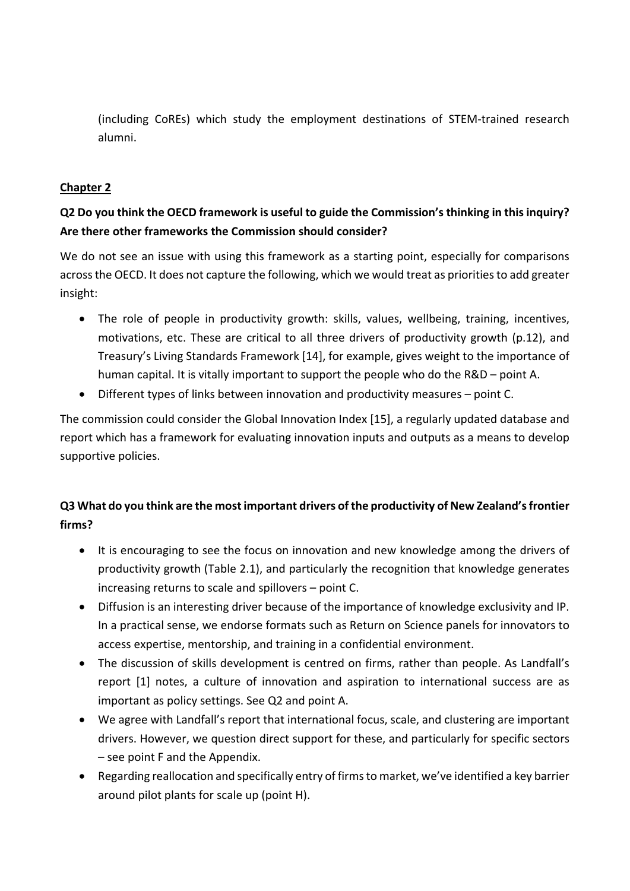(including CoREs) which study the employment destinations of STEM-trained research alumni.

#### **Chapter 2**

# **Q2 Do you think the OECD framework is useful to guide the Commission's thinking in this inquiry? Are there other frameworks the Commission should consider?**

We do not see an issue with using this framework as a starting point, especially for comparisons across the OECD. It does not capture the following, which we would treat as priorities to add greater insight:

- The role of people in productivity growth: skills, values, wellbeing, training, incentives, motivations, etc. These are critical to all three drivers of productivity growth (p.12), and Treasury's Living Standards Framework [14], for example, gives weight to the importance of human capital. It is vitally important to support the people who do the R&D – point A.
- Different types of links between innovation and productivity measures point C.

The commission could consider the Global Innovation Index [15], a regularly updated database and report which has a framework for evaluating innovation inputs and outputs as a means to develop supportive policies.

# **Q3 What do you think are the most important drivers of the productivity of New Zealand's frontier firms?**

- It is encouraging to see the focus on innovation and new knowledge among the drivers of productivity growth (Table 2.1), and particularly the recognition that knowledge generates increasing returns to scale and spillovers – point C.
- Diffusion is an interesting driver because of the importance of knowledge exclusivity and IP. In a practical sense, we endorse formats such as Return on Science panels for innovators to access expertise, mentorship, and training in a confidential environment.
- The discussion of skills development is centred on firms, rather than people. As Landfall's report [1] notes, a culture of innovation and aspiration to international success are as important as policy settings. See Q2 and point A.
- We agree with Landfall's report that international focus, scale, and clustering are important drivers. However, we question direct support for these, and particularly for specific sectors – see point F and the Appendix.
- Regarding reallocation and specifically entry of firms to market, we've identified a key barrier around pilot plants for scale up (point H).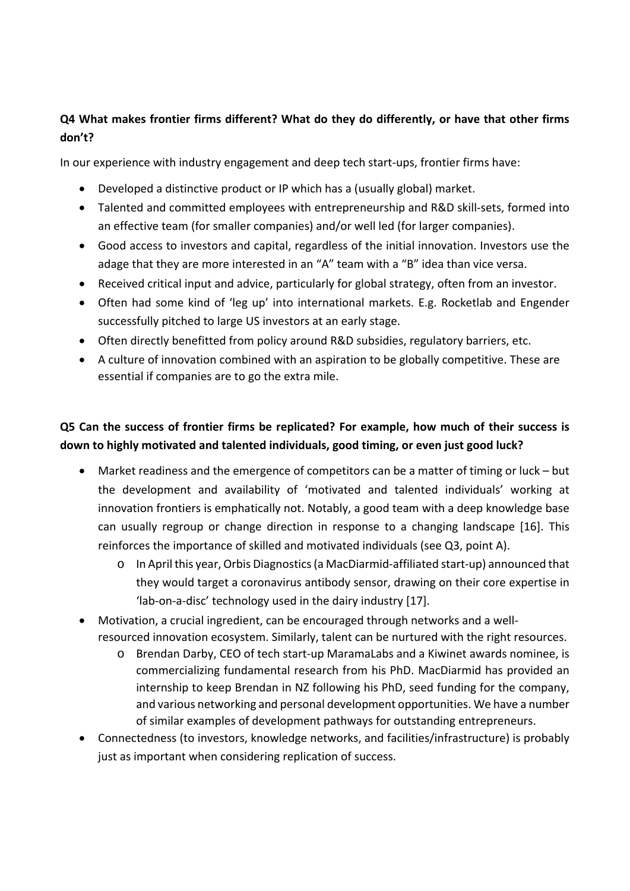### **Q4 What makes frontier firms different? What do they do differently, or have that other firms don't?**

In our experience with industry engagement and deep tech start-ups, frontier firms have:

- Developed a distinctive product or IP which has a (usually global) market.
- Talented and committed employees with entrepreneurship and R&D skill-sets, formed into an effective team (for smaller companies) and/or well led (for larger companies).
- Good access to investors and capital, regardless of the initial innovation. Investors use the adage that they are more interested in an "A" team with a "B" idea than vice versa.
- Received critical input and advice, particularly for global strategy, often from an investor.
- Often had some kind of 'leg up' into international markets. E.g. Rocketlab and Engender successfully pitched to large US investors at an early stage.
- Often directly benefitted from policy around R&D subsidies, regulatory barriers, etc.
- A culture of innovation combined with an aspiration to be globally competitive. These are essential if companies are to go the extra mile.

# **Q5 Can the success of frontier firms be replicated? For example, how much of their success is down to highly motivated and talented individuals, good timing, or even just good luck?**

- Market readiness and the emergence of competitors can be a matter of timing or luck but the development and availability of 'motivated and talented individuals' working at innovation frontiers is emphatically not. Notably, a good team with a deep knowledge base can usually regroup or change direction in response to a changing landscape [16]. This reinforces the importance of skilled and motivated individuals (see Q3, point A).
	- o In April this year, Orbis Diagnostics(a MacDiarmid-affiliated start-up) announced that they would target a coronavirus antibody sensor, drawing on their core expertise in 'lab-on-a-disc' technology used in the dairy industry [17].
- Motivation, a crucial ingredient, can be encouraged through networks and a wellresourced innovation ecosystem. Similarly, talent can be nurtured with the right resources.
	- o Brendan Darby, CEO of tech start-up MaramaLabs and a Kiwinet awards nominee, is commercializing fundamental research from his PhD. MacDiarmid has provided an internship to keep Brendan in NZ following his PhD, seed funding for the company, and various networking and personal development opportunities. We have a number of similar examples of development pathways for outstanding entrepreneurs.
- Connectedness (to investors, knowledge networks, and facilities/infrastructure) is probably just as important when considering replication of success.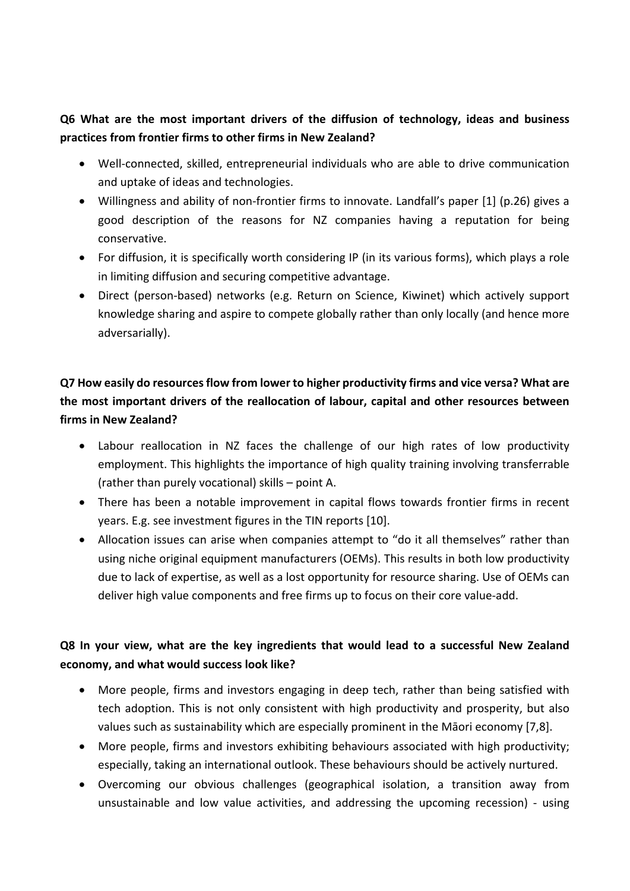# **Q6 What are the most important drivers of the diffusion of technology, ideas and business practices from frontier firms to other firms in New Zealand?**

- Well-connected, skilled, entrepreneurial individuals who are able to drive communication and uptake of ideas and technologies.
- Willingness and ability of non-frontier firms to innovate. Landfall's paper [1] (p.26) gives a good description of the reasons for NZ companies having a reputation for being conservative.
- For diffusion, it is specifically worth considering IP (in its various forms), which plays a role in limiting diffusion and securing competitive advantage.
- Direct (person-based) networks (e.g. Return on Science, Kiwinet) which actively support knowledge sharing and aspire to compete globally rather than only locally (and hence more adversarially).

# **Q7 How easily do resources flow from lower to higher productivity firms and vice versa? What are the most important drivers of the reallocation of labour, capital and other resources between firms in New Zealand?**

- Labour reallocation in NZ faces the challenge of our high rates of low productivity employment. This highlights the importance of high quality training involving transferrable (rather than purely vocational) skills – point A.
- There has been a notable improvement in capital flows towards frontier firms in recent years. E.g. see investment figures in the TIN reports [10].
- Allocation issues can arise when companies attempt to "do it all themselves" rather than using niche original equipment manufacturers (OEMs). This results in both low productivity due to lack of expertise, as well as a lost opportunity for resource sharing. Use of OEMs can deliver high value components and free firms up to focus on their core value-add.

# **Q8 In your view, what are the key ingredients that would lead to a successful New Zealand economy, and what would success look like?**

- More people, firms and investors engaging in deep tech, rather than being satisfied with tech adoption. This is not only consistent with high productivity and prosperity, but also values such as sustainability which are especially prominent in the Māori economy [7,8].
- More people, firms and investors exhibiting behaviours associated with high productivity; especially, taking an international outlook. These behaviours should be actively nurtured.
- Overcoming our obvious challenges (geographical isolation, a transition away from unsustainable and low value activities, and addressing the upcoming recession) - using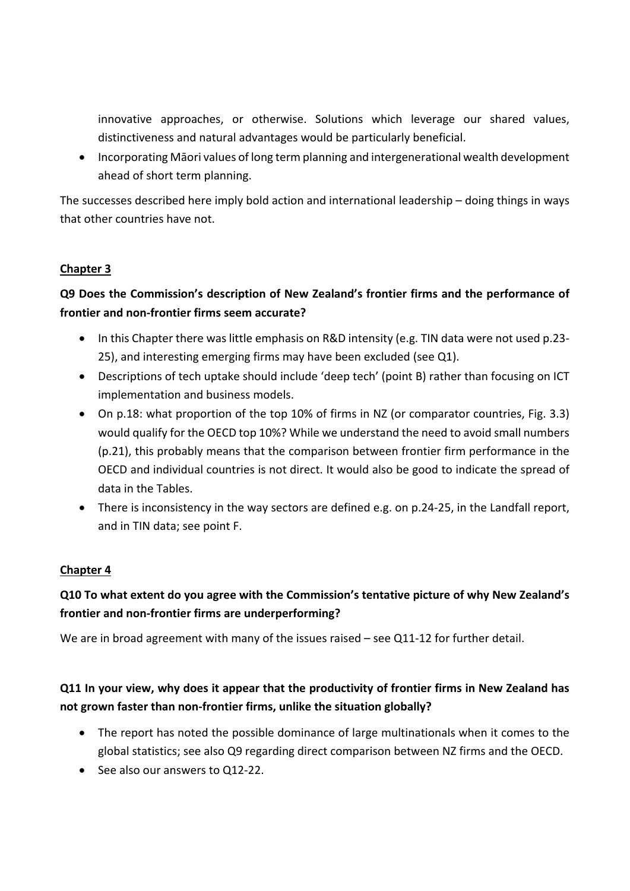innovative approaches, or otherwise. Solutions which leverage our shared values, distinctiveness and natural advantages would be particularly beneficial.

• Incorporating Māori values of long term planning and intergenerational wealth development ahead of short term planning.

The successes described here imply bold action and international leadership – doing things in ways that other countries have not.

#### **Chapter 3**

# **Q9 Does the Commission's description of New Zealand's frontier firms and the performance of frontier and non-frontier firms seem accurate?**

- In this Chapter there was little emphasis on R&D intensity (e.g. TIN data were not used p.23-25), and interesting emerging firms may have been excluded (see Q1).
- Descriptions of tech uptake should include 'deep tech' (point B) rather than focusing on ICT implementation and business models.
- On p.18: what proportion of the top 10% of firms in NZ (or comparator countries, Fig. 3.3) would qualify for the OECD top 10%? While we understand the need to avoid small numbers (p.21), this probably means that the comparison between frontier firm performance in the OECD and individual countries is not direct. It would also be good to indicate the spread of data in the Tables.
- There is inconsistency in the way sectors are defined e.g. on p.24-25, in the Landfall report, and in TIN data; see point F.

### **Chapter 4**

## **Q10 To what extent do you agree with the Commission's tentative picture of why New Zealand's frontier and non-frontier firms are underperforming?**

We are in broad agreement with many of the issues raised – see Q11-12 for further detail.

## **Q11 In your view, why does it appear that the productivity of frontier firms in New Zealand has not grown faster than non-frontier firms, unlike the situation globally?**

- The report has noted the possible dominance of large multinationals when it comes to the global statistics; see also Q9 regarding direct comparison between NZ firms and the OECD.
- See also our answers to Q12-22.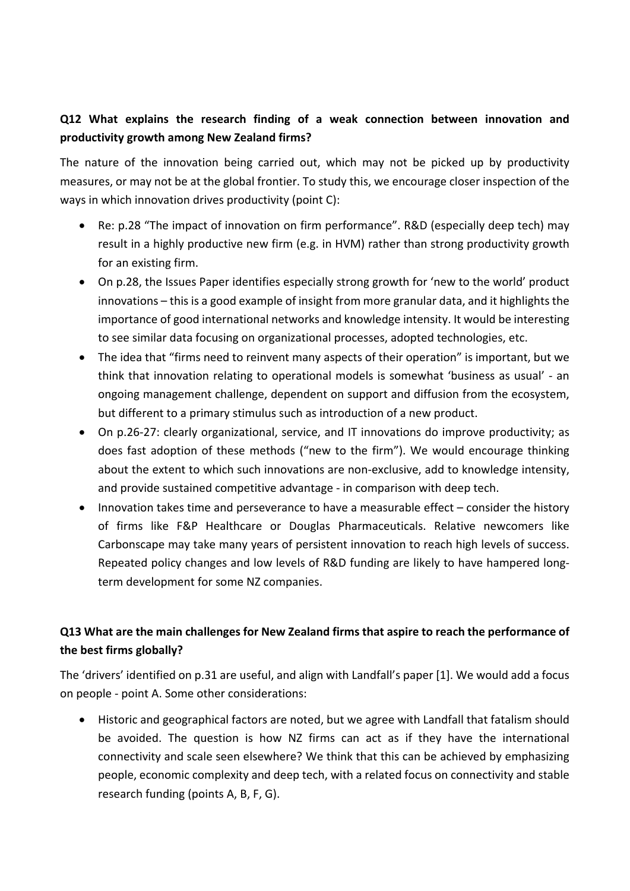# **Q12 What explains the research finding of a weak connection between innovation and productivity growth among New Zealand firms?**

The nature of the innovation being carried out, which may not be picked up by productivity measures, or may not be at the global frontier. To study this, we encourage closer inspection of the ways in which innovation drives productivity (point C):

- Re: p.28 "The impact of innovation on firm performance". R&D (especially deep tech) may result in a highly productive new firm (e.g. in HVM) rather than strong productivity growth for an existing firm.
- On p.28, the Issues Paper identifies especially strong growth for 'new to the world' product innovations – this is a good example of insight from more granular data, and it highlights the importance of good international networks and knowledge intensity. It would be interesting to see similar data focusing on organizational processes, adopted technologies, etc.
- The idea that "firms need to reinvent many aspects of their operation" is important, but we think that innovation relating to operational models is somewhat 'business as usual' - an ongoing management challenge, dependent on support and diffusion from the ecosystem, but different to a primary stimulus such as introduction of a new product.
- On p.26-27: clearly organizational, service, and IT innovations do improve productivity; as does fast adoption of these methods ("new to the firm"). We would encourage thinking about the extent to which such innovations are non-exclusive, add to knowledge intensity, and provide sustained competitive advantage - in comparison with deep tech.
- Innovation takes time and perseverance to have a measurable effect consider the history of firms like F&P Healthcare or Douglas Pharmaceuticals. Relative newcomers like Carbonscape may take many years of persistent innovation to reach high levels of success. Repeated policy changes and low levels of R&D funding are likely to have hampered longterm development for some NZ companies.

# **Q13 What are the main challenges for New Zealand firms that aspire to reach the performance of the best firms globally?**

The 'drivers' identified on p.31 are useful, and align with Landfall's paper [1]. We would add a focus on people - point A. Some other considerations:

• Historic and geographical factors are noted, but we agree with Landfall that fatalism should be avoided. The question is how NZ firms can act as if they have the international connectivity and scale seen elsewhere? We think that this can be achieved by emphasizing people, economic complexity and deep tech, with a related focus on connectivity and stable research funding (points A, B, F, G).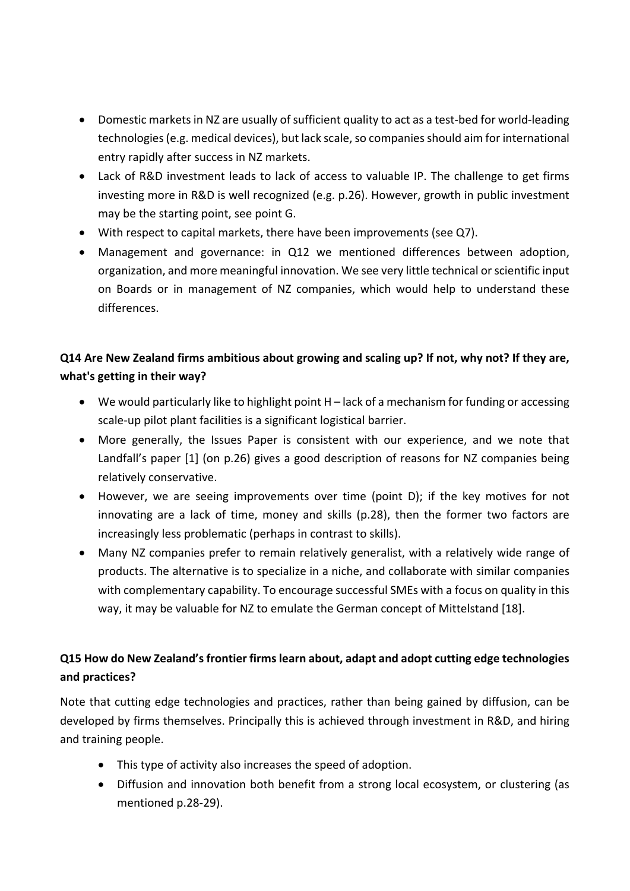- Domestic markets in NZ are usually of sufficient quality to act as a test-bed for world-leading technologies (e.g. medical devices), but lack scale, so companies should aim for international entry rapidly after success in NZ markets.
- Lack of R&D investment leads to lack of access to valuable IP. The challenge to get firms investing more in R&D is well recognized (e.g. p.26). However, growth in public investment may be the starting point, see point G.
- With respect to capital markets, there have been improvements (see Q7).
- Management and governance: in Q12 we mentioned differences between adoption, organization, and more meaningful innovation. We see very little technical or scientific input on Boards or in management of NZ companies, which would help to understand these differences.

# **Q14 Are New Zealand firms ambitious about growing and scaling up? If not, why not? If they are, what's getting in their way?**

- We would particularly like to highlight point H lack of a mechanism for funding or accessing scale-up pilot plant facilities is a significant logistical barrier.
- More generally, the Issues Paper is consistent with our experience, and we note that Landfall's paper [1] (on p.26) gives a good description of reasons for NZ companies being relatively conservative.
- However, we are seeing improvements over time (point D); if the key motives for not innovating are a lack of time, money and skills (p.28), then the former two factors are increasingly less problematic (perhaps in contrast to skills).
- Many NZ companies prefer to remain relatively generalist, with a relatively wide range of products. The alternative is to specialize in a niche, and collaborate with similar companies with complementary capability. To encourage successful SMEs with a focus on quality in this way, it may be valuable for NZ to emulate the German concept of Mittelstand [18].

# **Q15 How do New Zealand's frontier firms learn about, adapt and adopt cutting edge technologies and practices?**

Note that cutting edge technologies and practices, rather than being gained by diffusion, can be developed by firms themselves. Principally this is achieved through investment in R&D, and hiring and training people.

- This type of activity also increases the speed of adoption.
- Diffusion and innovation both benefit from a strong local ecosystem, or clustering (as mentioned p.28-29).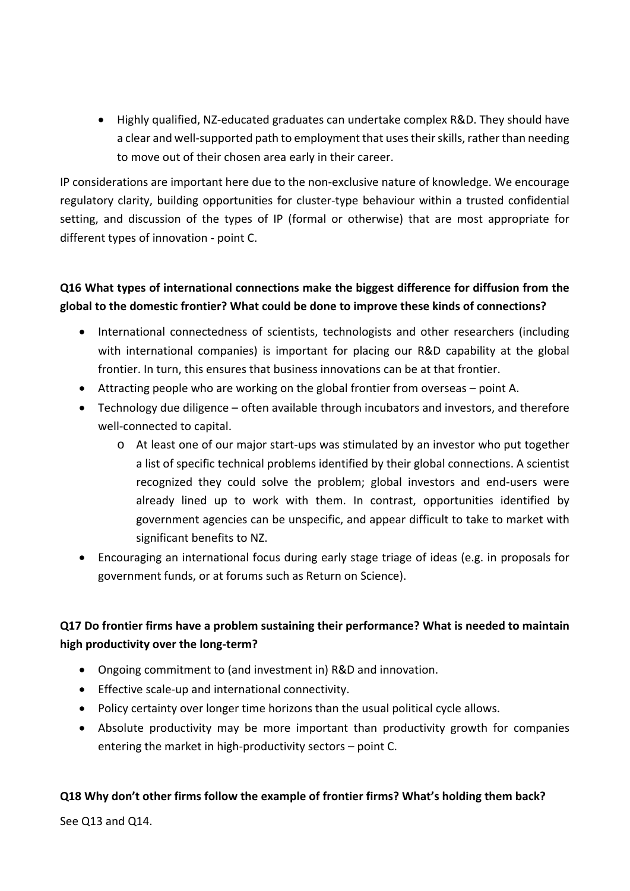• Highly qualified, NZ-educated graduates can undertake complex R&D. They should have a clear and well-supported path to employment that uses their skills, rather than needing to move out of their chosen area early in their career.

IP considerations are important here due to the non-exclusive nature of knowledge. We encourage regulatory clarity, building opportunities for cluster-type behaviour within a trusted confidential setting, and discussion of the types of IP (formal or otherwise) that are most appropriate for different types of innovation - point C.

### **Q16 What types of international connections make the biggest difference for diffusion from the global to the domestic frontier? What could be done to improve these kinds of connections?**

- International connectedness of scientists, technologists and other researchers (including with international companies) is important for placing our R&D capability at the global frontier. In turn, this ensures that business innovations can be at that frontier.
- Attracting people who are working on the global frontier from overseas point A.
- Technology due diligence often available through incubators and investors, and therefore well-connected to capital.
	- o At least one of our major start-ups was stimulated by an investor who put together a list of specific technical problems identified by their global connections. A scientist recognized they could solve the problem; global investors and end-users were already lined up to work with them. In contrast, opportunities identified by government agencies can be unspecific, and appear difficult to take to market with significant benefits to NZ.
- Encouraging an international focus during early stage triage of ideas (e.g. in proposals for government funds, or at forums such as Return on Science).

## **Q17 Do frontier firms have a problem sustaining their performance? What is needed to maintain high productivity over the long-term?**

- Ongoing commitment to (and investment in) R&D and innovation.
- Effective scale-up and international connectivity.
- Policy certainty over longer time horizons than the usual political cycle allows.
- Absolute productivity may be more important than productivity growth for companies entering the market in high-productivity sectors – point C.

#### **Q18 Why don't other firms follow the example of frontier firms? What's holding them back?**

See Q13 and Q14.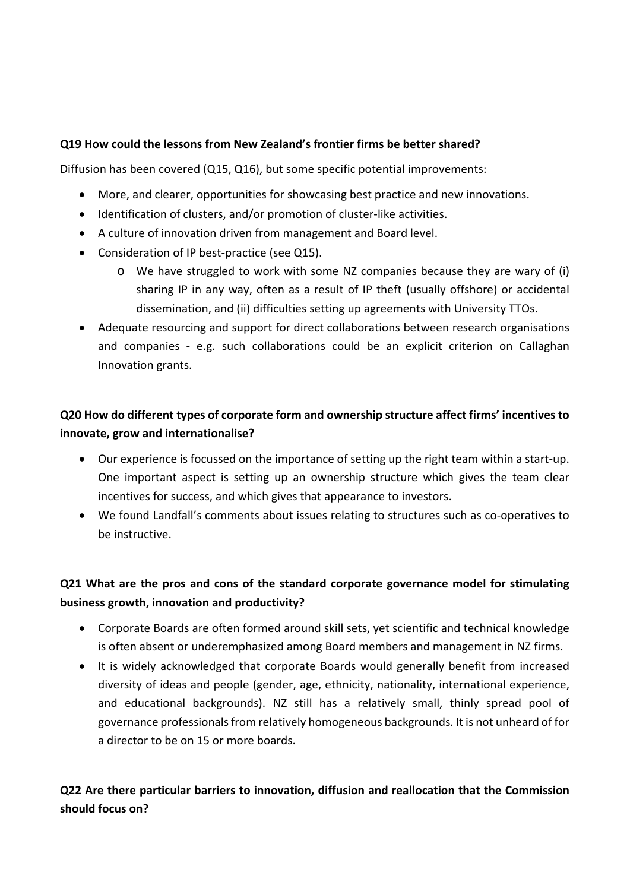#### **Q19 How could the lessons from New Zealand's frontier firms be better shared?**

Diffusion has been covered (Q15, Q16), but some specific potential improvements:

- More, and clearer, opportunities for showcasing best practice and new innovations.
- Identification of clusters, and/or promotion of cluster-like activities.
- A culture of innovation driven from management and Board level.
- Consideration of IP best-practice (see Q15).
	- o We have struggled to work with some NZ companies because they are wary of (i) sharing IP in any way, often as a result of IP theft (usually offshore) or accidental dissemination, and (ii) difficulties setting up agreements with University TTOs.
- Adequate resourcing and support for direct collaborations between research organisations and companies - e.g. such collaborations could be an explicit criterion on Callaghan Innovation grants.

# **Q20 How do different types of corporate form and ownership structure affect firms' incentives to innovate, grow and internationalise?**

- Our experience is focussed on the importance of setting up the right team within a start-up. One important aspect is setting up an ownership structure which gives the team clear incentives for success, and which gives that appearance to investors.
- We found Landfall's comments about issues relating to structures such as co-operatives to be instructive.

# **Q21 What are the pros and cons of the standard corporate governance model for stimulating business growth, innovation and productivity?**

- Corporate Boards are often formed around skill sets, yet scientific and technical knowledge is often absent or underemphasized among Board members and management in NZ firms.
- It is widely acknowledged that corporate Boards would generally benefit from increased diversity of ideas and people (gender, age, ethnicity, nationality, international experience, and educational backgrounds). NZ still has a relatively small, thinly spread pool of governance professionals from relatively homogeneous backgrounds. It is not unheard of for a director to be on 15 or more boards.

# **Q22 Are there particular barriers to innovation, diffusion and reallocation that the Commission should focus on?**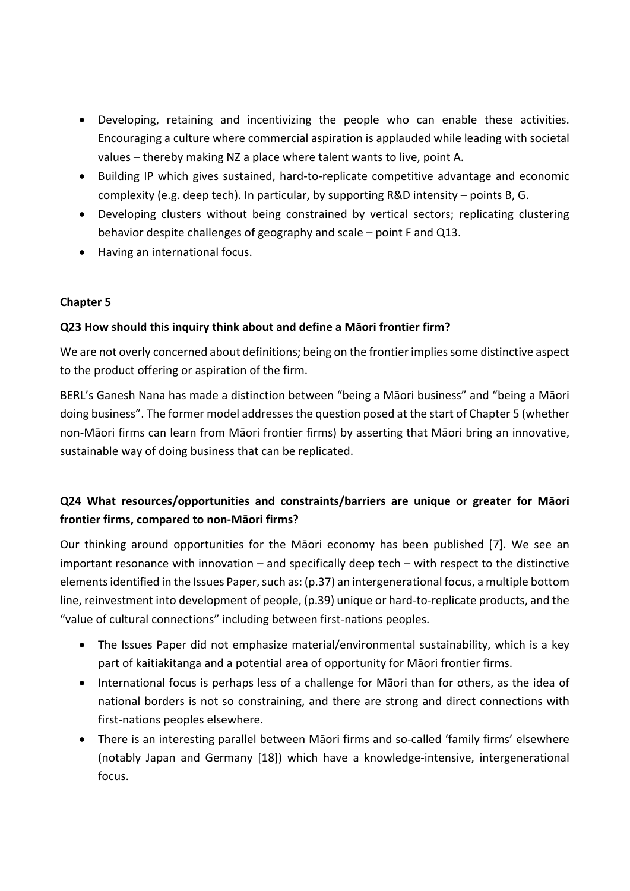- Developing, retaining and incentivizing the people who can enable these activities. Encouraging a culture where commercial aspiration is applauded while leading with societal values – thereby making NZ a place where talent wants to live, point A.
- Building IP which gives sustained, hard-to-replicate competitive advantage and economic complexity (e.g. deep tech). In particular, by supporting R&D intensity – points B, G.
- Developing clusters without being constrained by vertical sectors; replicating clustering behavior despite challenges of geography and scale – point F and Q13.
- Having an international focus.

### **Chapter 5**

### **Q23 How should this inquiry think about and define a Māori frontier firm?**

We are not overly concerned about definitions; being on the frontier implies some distinctive aspect to the product offering or aspiration of the firm.

BERL's Ganesh Nana has made a distinction between "being a Māori business" and "being a Māori doing business". The former model addressesthe question posed at the start of Chapter 5 (whether non-Māori firms can learn from Māori frontier firms) by asserting that Māori bring an innovative, sustainable way of doing business that can be replicated.

# **Q24 What resources/opportunities and constraints/barriers are unique or greater for Māori frontier firms, compared to non-Māori firms?**

Our thinking around opportunities for the Māori economy has been published [7]. We see an important resonance with innovation – and specifically deep tech – with respect to the distinctive elements identified in the Issues Paper, such as: (p.37) an intergenerational focus, a multiple bottom line, reinvestment into development of people, (p.39) unique or hard-to-replicate products, and the "value of cultural connections" including between first-nations peoples.

- The Issues Paper did not emphasize material/environmental sustainability, which is a key part of kaitiakitanga and a potential area of opportunity for Māori frontier firms.
- International focus is perhaps less of a challenge for Māori than for others, as the idea of national borders is not so constraining, and there are strong and direct connections with first-nations peoples elsewhere.
- There is an interesting parallel between Māori firms and so-called 'family firms' elsewhere (notably Japan and Germany [18]) which have a knowledge-intensive, intergenerational focus.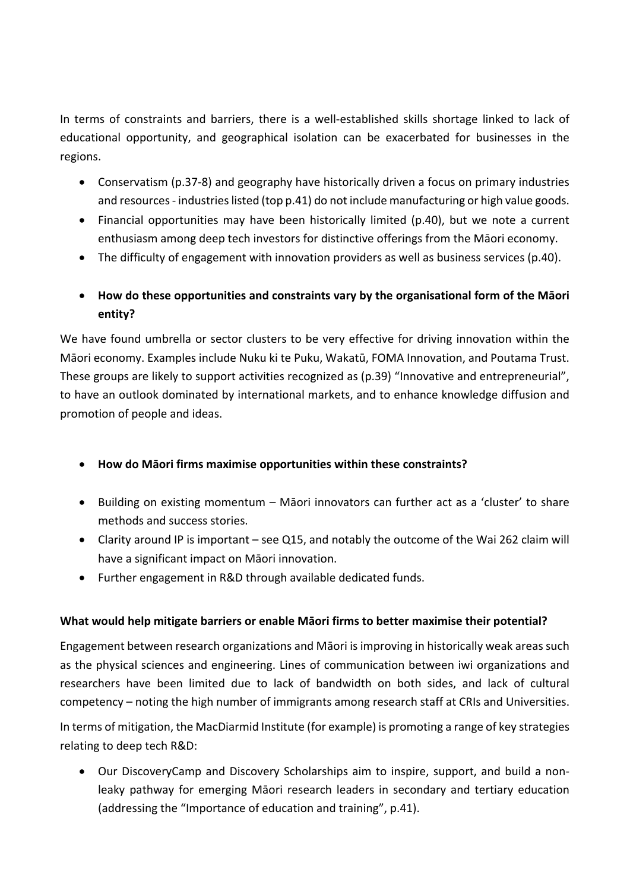In terms of constraints and barriers, there is a well-established skills shortage linked to lack of educational opportunity, and geographical isolation can be exacerbated for businesses in the regions.

- Conservatism (p.37-8) and geography have historically driven a focus on primary industries and resources - industries listed (top p.41) do not include manufacturing or high value goods.
- Financial opportunities may have been historically limited (p.40), but we note a current enthusiasm among deep tech investors for distinctive offerings from the Māori economy.
- The difficulty of engagement with innovation providers as well as business services (p.40).
- **How do these opportunities and constraints vary by the organisational form of the Māori entity?**

We have found umbrella or sector clusters to be very effective for driving innovation within the Māori economy. Examples include Nuku ki te Puku, Wakatū, FOMA Innovation, and Poutama Trust. These groups are likely to support activities recognized as (p.39) "Innovative and entrepreneurial", to have an outlook dominated by international markets, and to enhance knowledge diffusion and promotion of people and ideas.

- **How do Māori firms maximise opportunities within these constraints?**
- Building on existing momentum Māori innovators can further act as a 'cluster' to share methods and success stories.
- Clarity around IP is important see Q15, and notably the outcome of the Wai 262 claim will have a significant impact on Māori innovation.
- Further engagement in R&D through available dedicated funds.

### **What would help mitigate barriers or enable Māori firms to better maximise their potential?**

Engagement between research organizations and Māori is improving in historically weak areas such as the physical sciences and engineering. Lines of communication between iwi organizations and researchers have been limited due to lack of bandwidth on both sides, and lack of cultural competency – noting the high number of immigrants among research staff at CRIs and Universities.

In terms of mitigation, the MacDiarmid Institute (for example) is promoting a range of key strategies relating to deep tech R&D:

• Our DiscoveryCamp and Discovery Scholarships aim to inspire, support, and build a nonleaky pathway for emerging Māori research leaders in secondary and tertiary education (addressing the "Importance of education and training", p.41).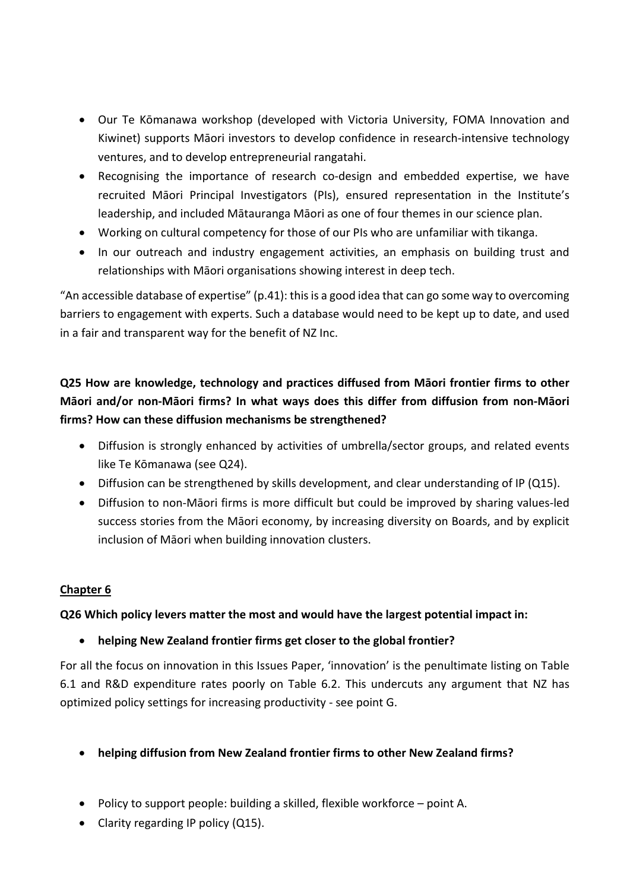- Our Te Kōmanawa workshop (developed with Victoria University, FOMA Innovation and Kiwinet) supports Māori investors to develop confidence in research-intensive technology ventures, and to develop entrepreneurial rangatahi.
- Recognising the importance of research co-design and embedded expertise, we have recruited Māori Principal Investigators (PIs), ensured representation in the Institute's leadership, and included Mātauranga Māori as one of four themes in our science plan.
- Working on cultural competency for those of our PIs who are unfamiliar with tikanga.
- In our outreach and industry engagement activities, an emphasis on building trust and relationships with Māori organisations showing interest in deep tech.

"An accessible database of expertise" (p.41): this is a good idea that can go some way to overcoming barriers to engagement with experts. Such a database would need to be kept up to date, and used in a fair and transparent way for the benefit of NZ Inc.

# **Q25 How are knowledge, technology and practices diffused from Māori frontier firms to other Māori and/or non-Māori firms? In what ways does this differ from diffusion from non-Māori firms? How can these diffusion mechanisms be strengthened?**

- Diffusion is strongly enhanced by activities of umbrella/sector groups, and related events like Te Kōmanawa (see Q24).
- Diffusion can be strengthened by skills development, and clear understanding of IP (Q15).
- Diffusion to non-Māori firms is more difficult but could be improved by sharing values-led success stories from the Māori economy, by increasing diversity on Boards, and by explicit inclusion of Māori when building innovation clusters.

### **Chapter 6**

### **Q26 Which policy levers matter the most and would have the largest potential impact in:**

### • **helping New Zealand frontier firms get closer to the global frontier?**

For all the focus on innovation in this Issues Paper, 'innovation' is the penultimate listing on Table 6.1 and R&D expenditure rates poorly on Table 6.2. This undercuts any argument that NZ has optimized policy settings for increasing productivity - see point G.

#### • **helping diffusion from New Zealand frontier firms to other New Zealand firms?**

- Policy to support people: building a skilled, flexible workforce point A.
- Clarity regarding IP policy (Q15).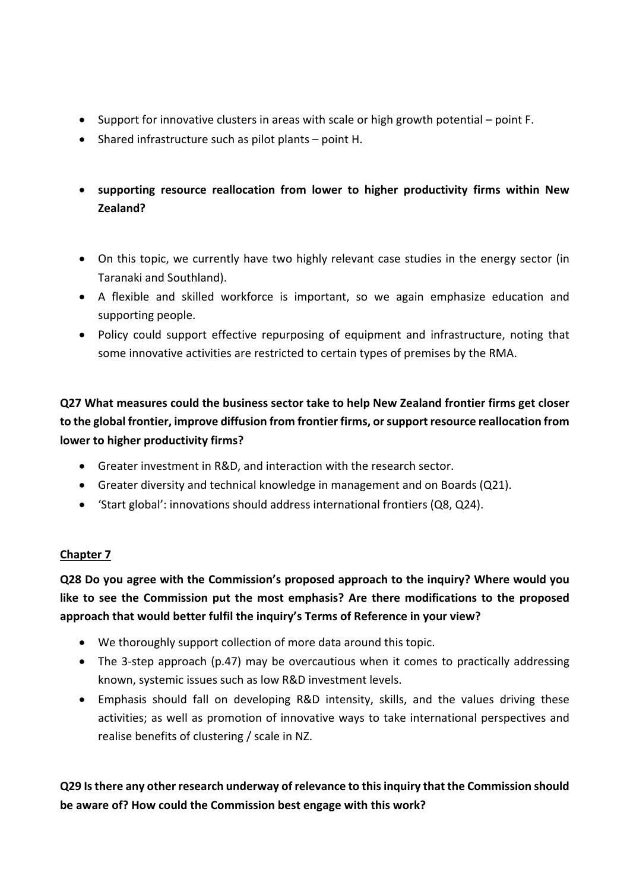- Support for innovative clusters in areas with scale or high growth potential point F.
- Shared infrastructure such as pilot plants point H.
- **supporting resource reallocation from lower to higher productivity firms within New Zealand?**
- On this topic, we currently have two highly relevant case studies in the energy sector (in Taranaki and Southland).
- A flexible and skilled workforce is important, so we again emphasize education and supporting people.
- Policy could support effective repurposing of equipment and infrastructure, noting that some innovative activities are restricted to certain types of premises by the RMA.

**Q27 What measures could the business sector take to help New Zealand frontier firms get closer to the global frontier, improve diffusion from frontier firms, or support resource reallocation from lower to higher productivity firms?**

- Greater investment in R&D, and interaction with the research sector.
- Greater diversity and technical knowledge in management and on Boards (Q21).
- 'Start global': innovations should address international frontiers (Q8, Q24).

### **Chapter 7**

**Q28 Do you agree with the Commission's proposed approach to the inquiry? Where would you like to see the Commission put the most emphasis? Are there modifications to the proposed approach that would better fulfil the inquiry's Terms of Reference in your view?**

- We thoroughly support collection of more data around this topic.
- The 3-step approach (p.47) may be overcautious when it comes to practically addressing known, systemic issues such as low R&D investment levels.
- Emphasis should fall on developing R&D intensity, skills, and the values driving these activities; as well as promotion of innovative ways to take international perspectives and realise benefits of clustering / scale in NZ.

**Q29 Is there any other research underway of relevance to this inquiry that the Commission should be aware of? How could the Commission best engage with this work?**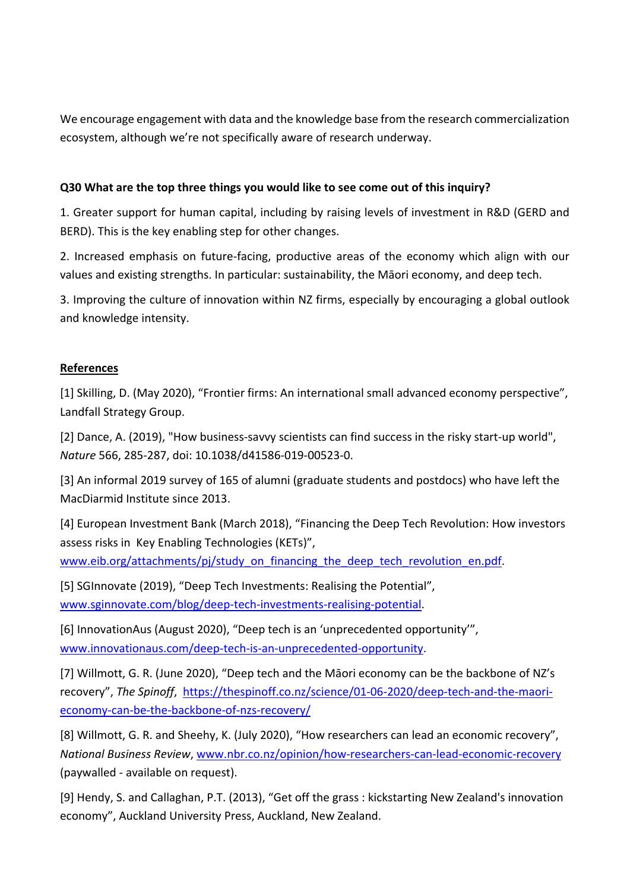We encourage engagement with data and the knowledge base from the research commercialization ecosystem, although we're not specifically aware of research underway.

#### **Q30 What are the top three things you would like to see come out of this inquiry?**

1. Greater support for human capital, including by raising levels of investment in R&D (GERD and BERD). This is the key enabling step for other changes.

2. Increased emphasis on future-facing, productive areas of the economy which align with our values and existing strengths. In particular: sustainability, the Māori economy, and deep tech.

3. Improving the culture of innovation within NZ firms, especially by encouraging a global outlook and knowledge intensity.

#### **References**

[1] Skilling, D. (May 2020), "Frontier firms: An international small advanced economy perspective", Landfall Strategy Group.

[2] Dance, A. (2019), "How business-savvy scientists can find success in the risky start-up world", *Nature* 566, 285-287, doi: 10.1038/d41586-019-00523-0.

[3] An informal 2019 survey of 165 of alumni (graduate students and postdocs) who have left the MacDiarmid Institute since 2013.

[4] European Investment Bank (March 2018), "Financing the Deep Tech Revolution: How investors assess risks in Key Enabling Technologies (KETs)",

[www.eib.org/attachments/pj/study\\_on\\_financing\\_the\\_deep\\_tech\\_revolution\\_en.pdf.](http://www.eib.org/attachments/pj/study_on_financing_the_deep_tech_revolution_en.pdf)

[5] SGInnovate (2019), "Deep Tech Investments: Realising the Potential", [www.sginnovate.com/blog/deep-tech-investments-realising-potential.](http://www.sginnovate.com/blog/deep-tech-investments-realising-potential)

[6] InnovationAus (August 2020), "Deep tech is an 'unprecedented opportunity'", [www.innovationaus.com/deep-tech-is-an-unprecedented-opportunity.](http://www.innovationaus.com/deep-tech-is-an-unprecedented-opportunity)

[7] Willmott, G. R. (June 2020), "Deep tech and the Māori economy can be the backbone of NZ's recovery", *The Spinoff*, [https://thespinoff.co.nz/science/01-06-2020/deep-tech-and-the-maori](https://thespinoff.co.nz/science/01-06-2020/deep-tech-and-the-maori-economy-can-be-the-backbone-of-nzs-recovery/)[economy-can-be-the-backbone-of-nzs-recovery/](https://thespinoff.co.nz/science/01-06-2020/deep-tech-and-the-maori-economy-can-be-the-backbone-of-nzs-recovery/)

[8] Willmott, G. R. and Sheehy, K. (July 2020), "How researchers can lead an economic recovery", *National Business Review*, [www.nbr.co.nz/opinion/how-researchers-can-lead-economic-recovery](http://www.nbr.co.nz/opinion/how-researchers-can-lead-economic-recovery) (paywalled - available on request).

[9] Hendy, S. and Callaghan, P.T. (2013), "Get off the grass : kickstarting New Zealand's innovation economy", Auckland University Press, Auckland, New Zealand.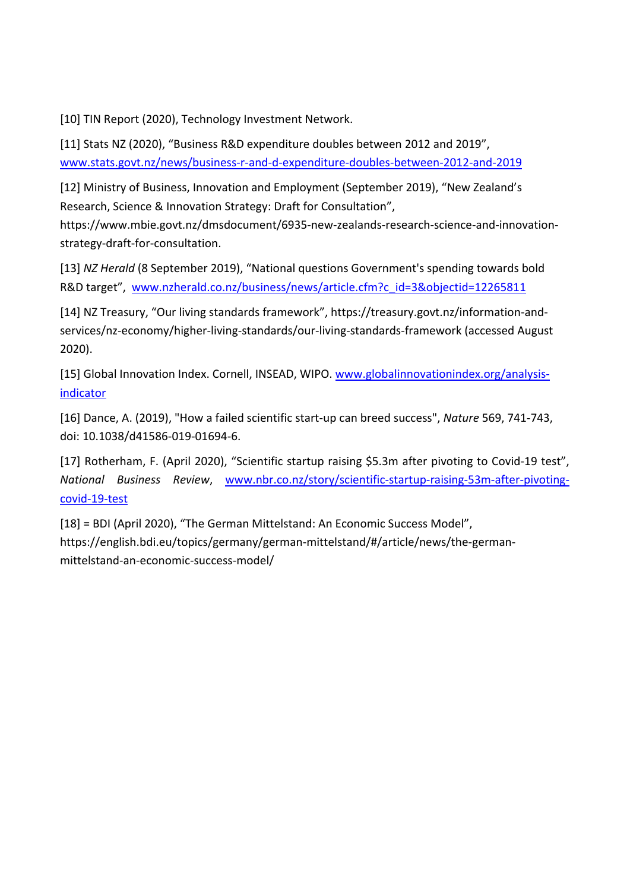[10] TIN Report (2020), Technology Investment Network.

[11] Stats NZ (2020), "Business R&D expenditure doubles between 2012 and 2019", [www.stats.govt.nz/news/business-r-and-d-expenditure-doubles-between-2012-and-2019](http://www.stats.govt.nz/news/business-r-and-d-expenditure-doubles-between-2012-and-2019)

[12] Ministry of Business, Innovation and Employment (September 2019), "New Zealand's Research, Science & Innovation Strategy: Draft for Consultation",

https://www.mbie.govt.nz/dmsdocument/6935-new-zealands-research-science-and-innovationstrategy-draft-for-consultation.

[13] *NZ Herald* (8 September 2019), "National questions Government's spending towards bold R&D target", [www.nzherald.co.nz/business/news/article.cfm?c\\_id=3&objectid=12265811](http://www.nzherald.co.nz/business/news/article.cfm?c_id=3&objectid=12265811)

[14] NZ Treasury, "Our living standards framework", https://treasury.govt.nz/information-andservices/nz-economy/higher-living-standards/our-living-standards-framework (accessed August 2020).

[15] Global Innovation Index. Cornell, INSEAD, WIPO. [www.globalinnovationindex.org/analysis](http://www.globalinnovationindex.org/analysis-indicator)[indicator](http://www.globalinnovationindex.org/analysis-indicator)

[16] Dance, A. (2019), "How a failed scientific start-up can breed success", *Nature* 569, 741-743, doi: 10.1038/d41586-019-01694-6.

[17] Rotherham, F. (April 2020), "Scientific startup raising \$5.3m after pivoting to Covid-19 test", *National Business Review*, [www.nbr.co.nz/story/scientific-startup-raising-53m-after-pivoting](http://www.nbr.co.nz/story/scientific-startup-raising-53m-after-pivoting-covid-19-test)[covid-19-test](http://www.nbr.co.nz/story/scientific-startup-raising-53m-after-pivoting-covid-19-test)

[18] = BDI (April 2020), "The German Mittelstand: An Economic Success Model", https://english.bdi.eu/topics/germany/german-mittelstand/#/article/news/the-germanmittelstand-an-economic-success-model/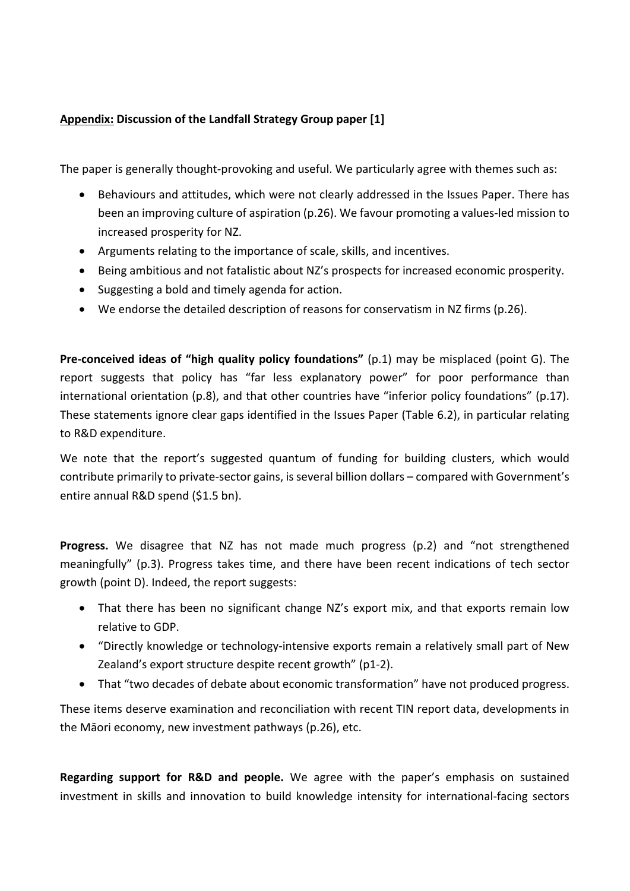#### **Appendix: Discussion of the Landfall Strategy Group paper [1]**

The paper is generally thought-provoking and useful. We particularly agree with themes such as:

- Behaviours and attitudes, which were not clearly addressed in the Issues Paper. There has been an improving culture of aspiration (p.26). We favour promoting a values-led mission to increased prosperity for NZ.
- Arguments relating to the importance of scale, skills, and incentives.
- Being ambitious and not fatalistic about NZ's prospects for increased economic prosperity.
- Suggesting a bold and timely agenda for action.
- We endorse the detailed description of reasons for conservatism in NZ firms (p.26).

**Pre-conceived ideas of "high quality policy foundations"** (p.1) may be misplaced (point G). The report suggests that policy has "far less explanatory power" for poor performance than international orientation (p.8), and that other countries have "inferior policy foundations" (p.17). These statements ignore clear gaps identified in the Issues Paper (Table 6.2), in particular relating to R&D expenditure.

We note that the report's suggested quantum of funding for building clusters, which would contribute primarily to private-sector gains, is several billion dollars – compared with Government's entire annual R&D spend (\$1.5 bn).

**Progress.** We disagree that NZ has not made much progress (p.2) and "not strengthened meaningfully" (p.3). Progress takes time, and there have been recent indications of tech sector growth (point D). Indeed, the report suggests:

- That there has been no significant change NZ's export mix, and that exports remain low relative to GDP.
- "Directly knowledge or technology-intensive exports remain a relatively small part of New Zealand's export structure despite recent growth" (p1-2).
- That "two decades of debate about economic transformation" have not produced progress.

These items deserve examination and reconciliation with recent TIN report data, developments in the Māori economy, new investment pathways (p.26), etc.

**Regarding support for R&D and people.** We agree with the paper's emphasis on sustained investment in skills and innovation to build knowledge intensity for international-facing sectors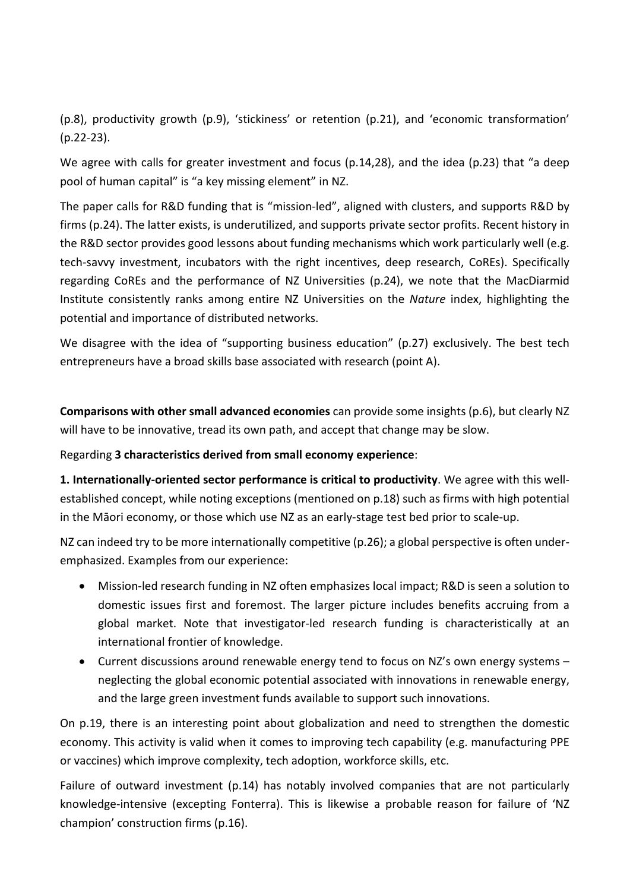(p.8), productivity growth (p.9), 'stickiness' or retention (p.21), and 'economic transformation' (p.22-23).

We agree with calls for greater investment and focus (p.14,28), and the idea (p.23) that "a deep pool of human capital" is "a key missing element" in NZ.

The paper calls for R&D funding that is "mission-led", aligned with clusters, and supports R&D by firms (p.24). The latter exists, is underutilized, and supports private sector profits. Recent history in the R&D sector provides good lessons about funding mechanisms which work particularly well (e.g. tech-savvy investment, incubators with the right incentives, deep research, CoREs). Specifically regarding CoREs and the performance of NZ Universities (p.24), we note that the MacDiarmid Institute consistently ranks among entire NZ Universities on the *Nature* index, highlighting the potential and importance of distributed networks.

We disagree with the idea of "supporting business education" (p.27) exclusively. The best tech entrepreneurs have a broad skills base associated with research (point A).

**Comparisons with other small advanced economies** can provide some insights (p.6), but clearly NZ will have to be innovative, tread its own path, and accept that change may be slow.

#### Regarding **3 characteristics derived from small economy experience**:

**1. Internationally-oriented sector performance is critical to productivity**. We agree with this wellestablished concept, while noting exceptions (mentioned on p.18) such as firms with high potential in the Māori economy, or those which use NZ as an early-stage test bed prior to scale-up.

NZ can indeed try to be more internationally competitive (p.26); a global perspective is often underemphasized. Examples from our experience:

- Mission-led research funding in NZ often emphasizes local impact; R&D is seen a solution to domestic issues first and foremost. The larger picture includes benefits accruing from a global market. Note that investigator-led research funding is characteristically at an international frontier of knowledge.
- Current discussions around renewable energy tend to focus on NZ's own energy systems neglecting the global economic potential associated with innovations in renewable energy, and the large green investment funds available to support such innovations.

On p.19, there is an interesting point about globalization and need to strengthen the domestic economy. This activity is valid when it comes to improving tech capability (e.g. manufacturing PPE or vaccines) which improve complexity, tech adoption, workforce skills, etc.

Failure of outward investment (p.14) has notably involved companies that are not particularly knowledge-intensive (excepting Fonterra). This is likewise a probable reason for failure of 'NZ champion' construction firms (p.16).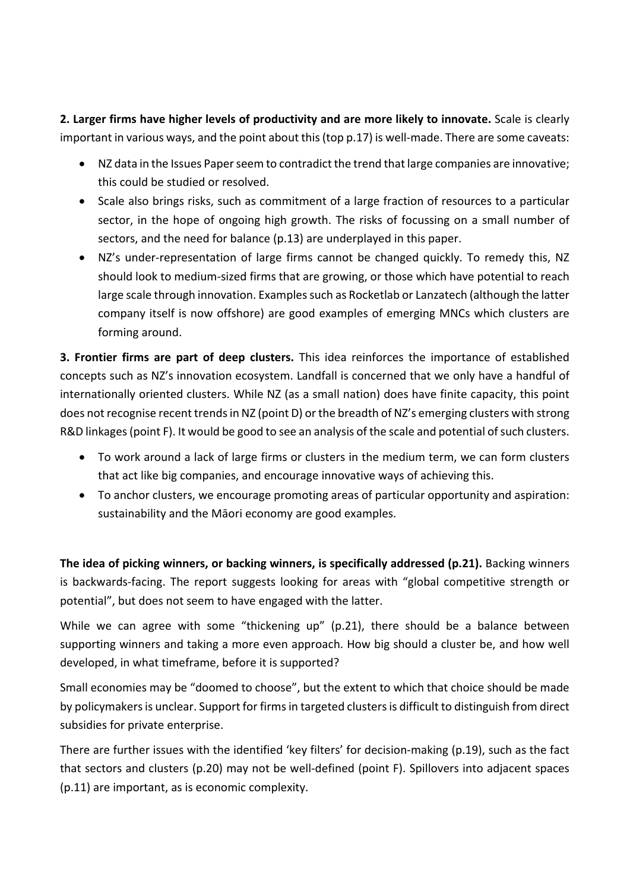**2. Larger firms have higher levels of productivity and are more likely to innovate.** Scale is clearly important in various ways, and the point about this (top p.17) is well-made. There are some caveats:

- NZ data in the Issues Paper seem to contradict the trend that large companies are innovative; this could be studied or resolved.
- Scale also brings risks, such as commitment of a large fraction of resources to a particular sector, in the hope of ongoing high growth. The risks of focussing on a small number of sectors, and the need for balance (p.13) are underplayed in this paper.
- NZ's under-representation of large firms cannot be changed quickly. To remedy this, NZ should look to medium-sized firms that are growing, or those which have potential to reach large scale through innovation. Examples such as Rocketlab or Lanzatech (although the latter company itself is now offshore) are good examples of emerging MNCs which clusters are forming around.

**3. Frontier firms are part of deep clusters.** This idea reinforces the importance of established concepts such as NZ's innovation ecosystem. Landfall is concerned that we only have a handful of internationally oriented clusters. While NZ (as a small nation) does have finite capacity, this point does not recognise recent trends in NZ (point D) or the breadth of NZ's emerging clusters with strong R&D linkages (point F). It would be good to see an analysis of the scale and potential of such clusters.

- To work around a lack of large firms or clusters in the medium term, we can form clusters that act like big companies, and encourage innovative ways of achieving this.
- To anchor clusters, we encourage promoting areas of particular opportunity and aspiration: sustainability and the Māori economy are good examples.

**The idea of picking winners, or backing winners, is specifically addressed (p.21).** Backing winners is backwards-facing. The report suggests looking for areas with "global competitive strength or potential", but does not seem to have engaged with the latter.

While we can agree with some "thickening up" (p.21), there should be a balance between supporting winners and taking a more even approach. How big should a cluster be, and how well developed, in what timeframe, before it is supported?

Small economies may be "doomed to choose", but the extent to which that choice should be made by policymakersis unclear. Support for firms in targeted clusters is difficult to distinguish from direct subsidies for private enterprise.

There are further issues with the identified 'key filters' for decision-making (p.19), such as the fact that sectors and clusters (p.20) may not be well-defined (point F). Spillovers into adjacent spaces (p.11) are important, as is economic complexity.